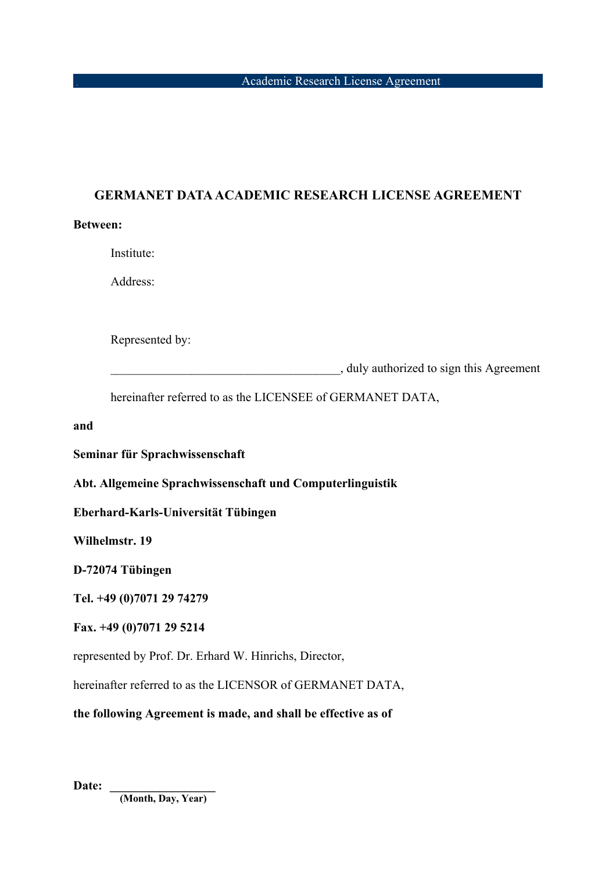## **GERMANET DATA ACADEMIC RESEARCH LICENSE AGREEMENT**

#### **Between:**

Institute:

Address:

Represented by:

\_\_\_\_\_\_\_\_\_\_\_\_\_\_\_\_\_\_\_\_\_\_\_\_\_\_\_\_\_\_\_\_\_\_\_\_\_, duly authorized to sign this Agreement

hereinafter referred to as the LICENSEE of GERMANET DATA,

**and**

**Seminar für Sprachwissenschaft**

**Abt. Allgemeine Sprachwissenschaft und Computerlinguistik**

**Eberhard-Karls-Universität Tübingen**

**Wilhelmstr. 19**

**D-72074 Tübingen**

**Tel. +49 (0)7071 29 74279**

#### **Fax. +49 (0)7071 29 5214**

represented by Prof. Dr. Erhard W. Hinrichs, Director,

hereinafter referred to as the LICENSOR of GERMANET DATA,

**the following Agreement is made, and shall be effective as of** 

Date:

 **(Month, Day, Year)**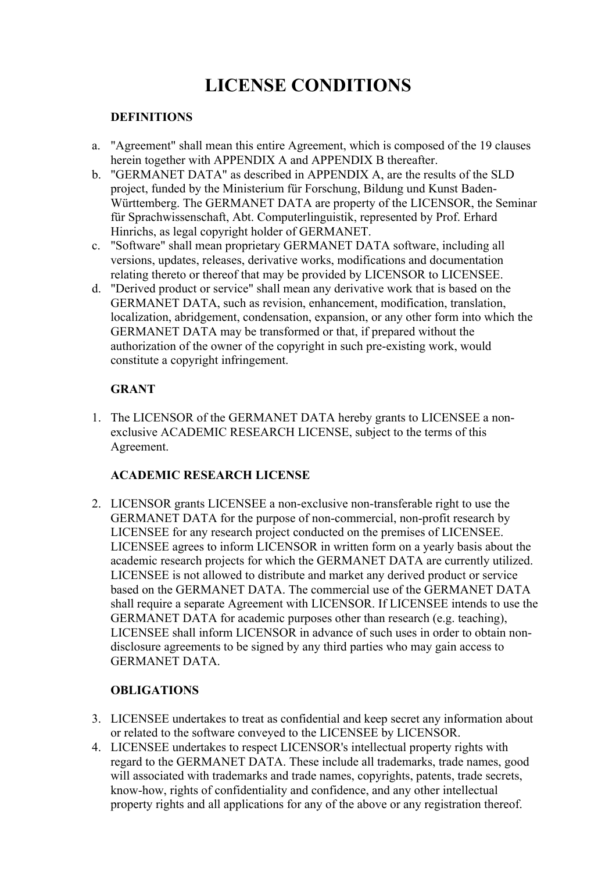# **LICENSE CONDITIONS**

#### **DEFINITIONS**

- a. "Agreement" shall mean this entire Agreement, which is composed of the 19 clauses herein together with APPENDIX A and APPENDIX B thereafter.
- b. "GERMANET DATA" as described in APPENDIX A, are the results of the SLD project, funded by the Ministerium für Forschung, Bildung und Kunst Baden-Württemberg. The GERMANET DATA are property of the LICENSOR, the Seminar für Sprachwissenschaft, Abt. Computerlinguistik, represented by Prof. Erhard Hinrichs, as legal copyright holder of GERMANET.
- c. "Software" shall mean proprietary GERMANET DATA software, including all versions, updates, releases, derivative works, modifications and documentation relating thereto or thereof that may be provided by LICENSOR to LICENSEE.
- d. "Derived product or service" shall mean any derivative work that is based on the GERMANET DATA, such as revision, enhancement, modification, translation, localization, abridgement, condensation, expansion, or any other form into which the GERMANET DATA may be transformed or that, if prepared without the authorization of the owner of the copyright in such pre-existing work, would constitute a copyright infringement.

## **GRANT**

1. The LICENSOR of the GERMANET DATA hereby grants to LICENSEE a nonexclusive ACADEMIC RESEARCH LICENSE, subject to the terms of this Agreement.

#### **ACADEMIC RESEARCH LICENSE**

2. LICENSOR grants LICENSEE a non-exclusive non-transferable right to use the GERMANET DATA for the purpose of non-commercial, non-profit research by LICENSEE for any research project conducted on the premises of LICENSEE. LICENSEE agrees to inform LICENSOR in written form on a yearly basis about the academic research projects for which the GERMANET DATA are currently utilized. LICENSEE is not allowed to distribute and market any derived product or service based on the GERMANET DATA. The commercial use of the GERMANET DATA shall require a separate Agreement with LICENSOR. If LICENSEE intends to use the GERMANET DATA for academic purposes other than research (e.g. teaching), LICENSEE shall inform LICENSOR in advance of such uses in order to obtain nondisclosure agreements to be signed by any third parties who may gain access to GERMANET DATA.

## **OBLIGATIONS**

- 3. LICENSEE undertakes to treat as confidential and keep secret any information about or related to the software conveyed to the LICENSEE by LICENSOR.
- 4. LICENSEE undertakes to respect LICENSOR's intellectual property rights with regard to the GERMANET DATA. These include all trademarks, trade names, good will associated with trademarks and trade names, copyrights, patents, trade secrets, know-how, rights of confidentiality and confidence, and any other intellectual property rights and all applications for any of the above or any registration thereof.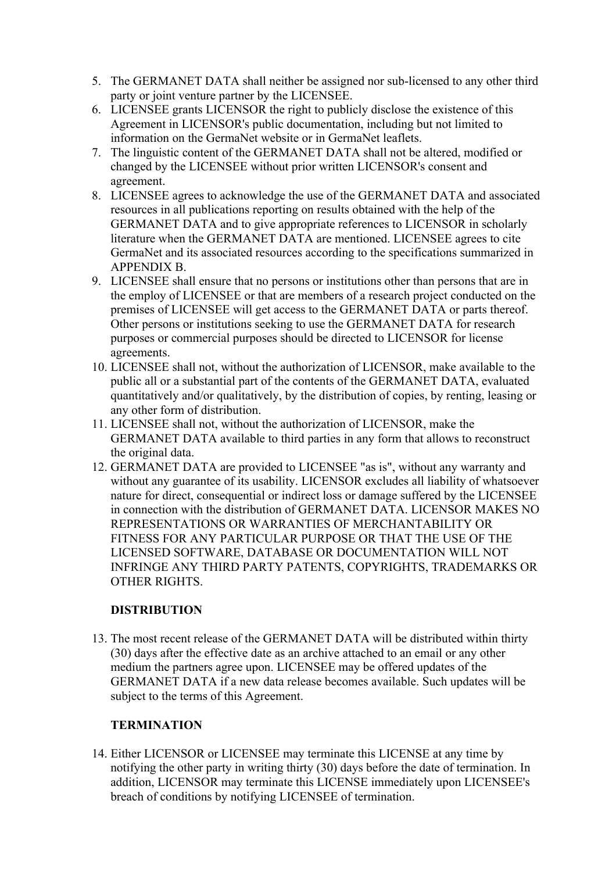- 5. The GERMANET DATA shall neither be assigned nor sub-licensed to any other third party or joint venture partner by the LICENSEE.
- 6. LICENSEE grants LICENSOR the right to publicly disclose the existence of this Agreement in LICENSOR's public documentation, including but not limited to information on the GermaNet website or in GermaNet leaflets.
- 7. The linguistic content of the GERMANET DATA shall not be altered, modified or changed by the LICENSEE without prior written LICENSOR's consent and agreement.
- 8. LICENSEE agrees to acknowledge the use of the GERMANET DATA and associated resources in all publications reporting on results obtained with the help of the GERMANET DATA and to give appropriate references to LICENSOR in scholarly literature when the GERMANET DATA are mentioned. LICENSEE agrees to cite GermaNet and its associated resources according to the specifications summarized in APPENDIX B.
- 9. LICENSEE shall ensure that no persons or institutions other than persons that are in the employ of LICENSEE or that are members of a research project conducted on the premises of LICENSEE will get access to the GERMANET DATA or parts thereof. Other persons or institutions seeking to use the GERMANET DATA for research purposes or commercial purposes should be directed to LICENSOR for license agreements.
- 10. LICENSEE shall not, without the authorization of LICENSOR, make available to the public all or a substantial part of the contents of the GERMANET DATA, evaluated quantitatively and/or qualitatively, by the distribution of copies, by renting, leasing or any other form of distribution.
- 11. LICENSEE shall not, without the authorization of LICENSOR, make the GERMANET DATA available to third parties in any form that allows to reconstruct the original data.
- 12. GERMANET DATA are provided to LICENSEE "as is", without any warranty and without any guarantee of its usability. LICENSOR excludes all liability of whatsoever nature for direct, consequential or indirect loss or damage suffered by the LICENSEE in connection with the distribution of GERMANET DATA. LICENSOR MAKES NO REPRESENTATIONS OR WARRANTIES OF MERCHANTABILITY OR FITNESS FOR ANY PARTICULAR PURPOSE OR THAT THE USE OF THE LICENSED SOFTWARE, DATABASE OR DOCUMENTATION WILL NOT INFRINGE ANY THIRD PARTY PATENTS, COPYRIGHTS, TRADEMARKS OR OTHER RIGHTS.

#### **DISTRIBUTION**

13. The most recent release of the GERMANET DATA will be distributed within thirty (30) days after the effective date as an archive attached to an email or any other medium the partners agree upon. LICENSEE may be offered updates of the GERMANET DATA if a new data release becomes available. Such updates will be subject to the terms of this Agreement.

## **TERMINATION**

14. Either LICENSOR or LICENSEE may terminate this LICENSE at any time by notifying the other party in writing thirty (30) days before the date of termination. In addition, LICENSOR may terminate this LICENSE immediately upon LICENSEE's breach of conditions by notifying LICENSEE of termination.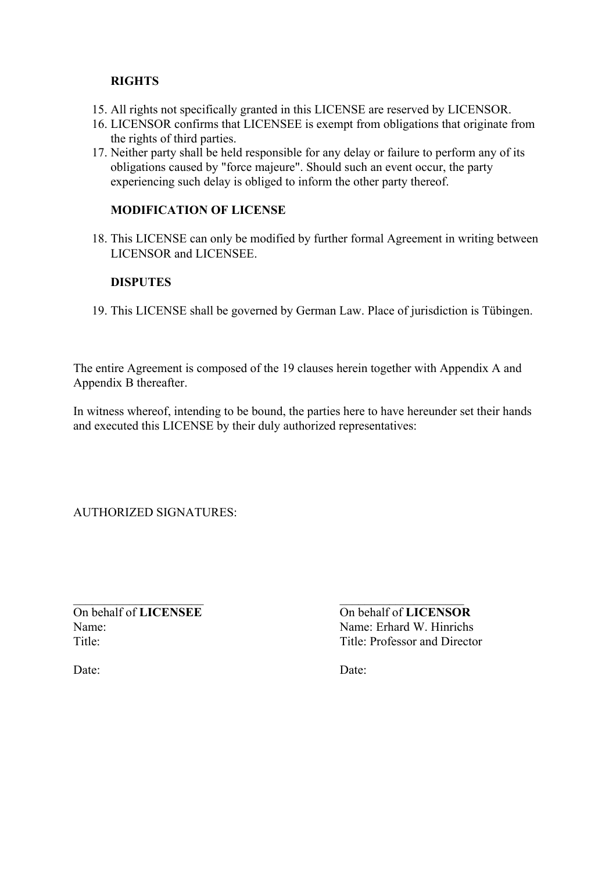#### **RIGHTS**

- 15. All rights not specifically granted in this LICENSE are reserved by LICENSOR.
- 16. LICENSOR confirms that LICENSEE is exempt from obligations that originate from the rights of third parties.
- 17. Neither party shall be held responsible for any delay or failure to perform any of its obligations caused by "force majeure". Should such an event occur, the party experiencing such delay is obliged to inform the other party thereof.

## **MODIFICATION OF LICENSE**

18. This LICENSE can only be modified by further formal Agreement in writing between LICENSOR and LICENSEE.

#### **DISPUTES**

19. This LICENSE shall be governed by German Law. Place of jurisdiction is Tübingen.

The entire Agreement is composed of the 19 clauses herein together with Appendix A and Appendix B thereafter.

In witness whereof, intending to be bound, the parties here to have hereunder set their hands and executed this LICENSE by their duly authorized representatives:

AUTHORIZED SIGNATURES:

On behalf of **LICENSEE** Name: Title:

On behalf of **LICENSOR** Name: Erhard W. Hinrichs Title: Professor and Director

Date:

Date: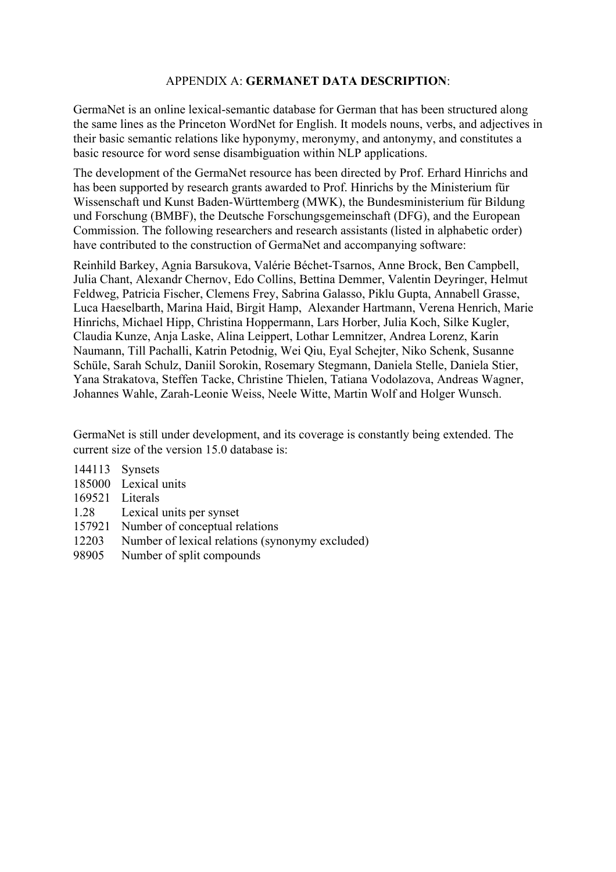#### APPENDIX A: **GERMANET DATA DESCRIPTION**:

GermaNet is an online lexical-semantic database for German that has been structured along the same lines as the Princeton WordNet for English. It models nouns, verbs, and adjectives in their basic semantic relations like hyponymy, meronymy, and antonymy, and constitutes a basic resource for word sense disambiguation within NLP applications.

The development of the GermaNet resource has been directed by Prof. Erhard Hinrichs and has been supported by research grants awarded to Prof. Hinrichs by the Ministerium für Wissenschaft und Kunst Baden-Württemberg (MWK), the Bundesministerium für Bildung und Forschung (BMBF), the Deutsche Forschungsgemeinschaft (DFG), and the European Commission. The following researchers and research assistants (listed in alphabetic order) have contributed to the construction of GermaNet and accompanying software:

Reinhild Barkey, Agnia Barsukova, Valérie Béchet-Tsarnos, Anne Brock, Ben Campbell, Julia Chant, Alexandr Chernov, Edo Collins, Bettina Demmer, Valentin Deyringer, Helmut Feldweg, Patricia Fischer, Clemens Frey, Sabrina Galasso, Piklu Gupta, Annabell Grasse, Luca Haeselbarth, Marina Haid, Birgit Hamp, Alexander Hartmann, Verena Henrich, Marie Hinrichs, Michael Hipp, Christina Hoppermann, Lars Horber, Julia Koch, Silke Kugler, Claudia Kunze, Anja Laske, Alina Leippert, Lothar Lemnitzer, Andrea Lorenz, Karin Naumann, Till Pachalli, Katrin Petodnig, Wei Qiu, Eyal Schejter, Niko Schenk, Susanne Schüle, Sarah Schulz, Daniil Sorokin, Rosemary Stegmann, Daniela Stelle, Daniela Stier, Yana Strakatova, Steffen Tacke, Christine Thielen, Tatiana Vodolazova, Andreas Wagner, Johannes Wahle, Zarah-Leonie Weiss, Neele Witte, Martin Wolf and Holger Wunsch.

GermaNet is still under development, and its coverage is constantly being extended. The current size of the version 15.0 database is:

- 144113 Synsets
- 185000 Lexical units
- 169521 Literals
- 1.28 Lexical units per synset
- 157921 Number of conceptual relations
- 12203 Number of lexical relations (synonymy excluded)
- 98905 Number of split compounds